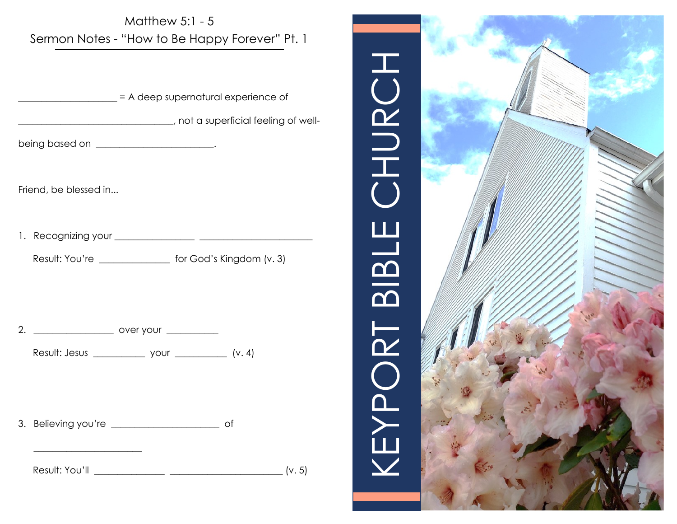

3. Believing you're \_\_\_\_\_\_\_\_\_\_\_\_\_\_\_\_\_\_\_\_\_\_\_ of

\_\_\_\_\_\_\_\_\_\_\_\_\_\_\_\_\_\_\_\_\_\_\_

Result: You'll \_\_\_\_\_\_\_\_\_\_\_\_\_\_\_ \_\_\_\_\_\_\_\_\_\_\_\_\_\_\_\_\_\_\_\_\_\_\_\_ (v. 5)